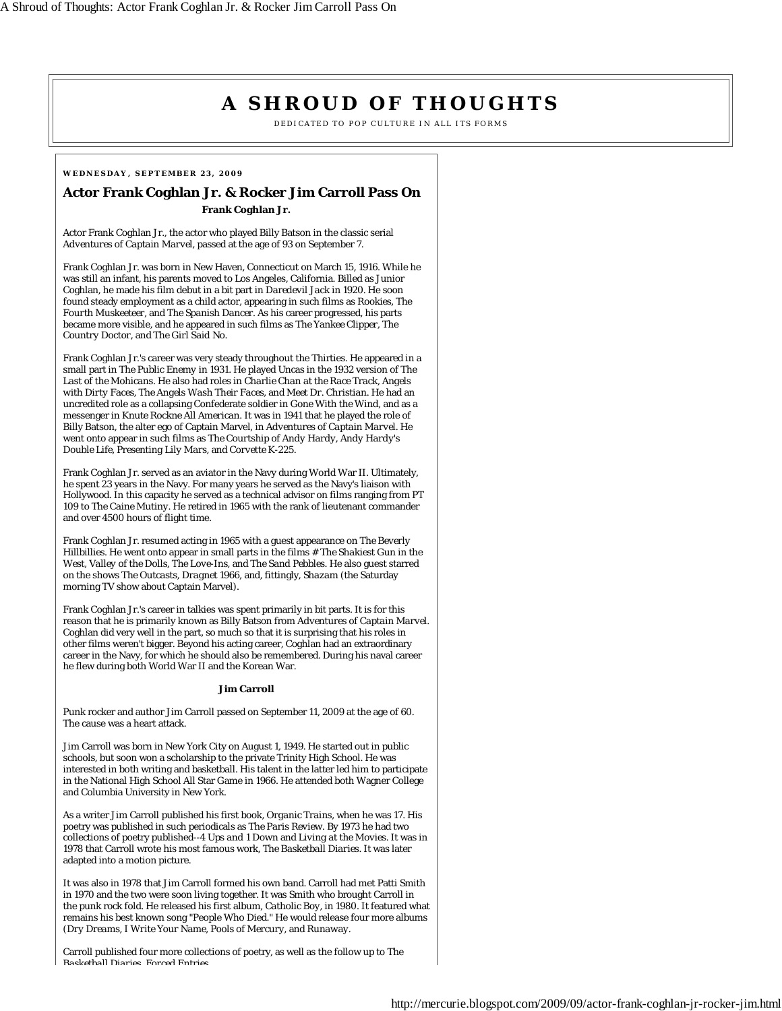## **A SHROUD OF THOUGHTS**

DEDICATED TO POP CULTURE IN ALL ITS FORMS

## **WEDNESDAY, SEPTEMBER 23, 2009**

## **Actor Frank Coghlan Jr. & Rocker Jim Carroll Pass On Frank Coghlan Jr.**

Actor Frank Coghlan Jr., the actor who played Billy Batson in the classic serial *Adventures of Captain Marvel*, passed at the age of 93 on September 7.

Frank Coghlan Jr. was born in New Haven, Connecticut on March 15, 1916. While he was still an infant, his parents moved to Los Angeles, California. Billed as Junior Coghlan, he made his film debut in a bit part in *Daredevil Jack* in 1920. He soon found steady employment as a child actor, appearing in such films as *Rookies*, *The Fourth Muskeeteer*, and *The Spanish Dancer*. As his career progressed, his parts became more visible, and he appeared in such films as *The Yankee Clipper*, *The Country Doctor*, and *The Girl Said No*.

Frank Coghlan Jr.'s career was very steady throughout the Thirties. He appeared in a small part in *The Public Enemy* in 1931. He played Uncas in the 1932 version of *The Last of the Mohicans*. He also had roles in *Charlie Chan at the Race Track*, *Angels with Dirty Faces*, *The Angels Wash Their Faces*, and *Meet Dr. Christian*. He had an uncredited role as a collapsing Confederate soldier in *Gone With the Wind*, and as a messenger in *Knute Rockne All American*. It was in 1941 that he played the role of Billy Batson, the alter ego of Captain Marvel, in *Adventures of Captain Marvel*. He went onto appear in such films as *The Courtship of Andy Hardy*, *Andy Hardy's Double Life*, *Presenting Lily Mars*, and *Corvette K-225*.

Frank Coghlan Jr. served as an aviator in the Navy during World War II. Ultimately, he spent 23 years in the Navy. For many years he served as the Navy's liaison with Hollywood. In this capacity he served as a technical advisor on films ranging from *PT 109* to *The Caine Mutiny*. He retired in 1965 with the rank of lieutenant commander and over 4500 hours of flight time.

Frank Coghlan Jr. resumed acting in 1965 with a guest appearance on *The Beverly Hillbillies*. He went onto appear in small parts in the films *# The Shakiest Gun in the West*, *Valley of the Dolls*, *The Love-Ins*, and *The Sand Pebbles*. He also guest starred on the shows *The Outcasts*, *Dragnet 1966*, and, fittingly, *Shazam* (the Saturday morning TV show about Captain Marvel).

Frank Coghlan Jr.'s career in talkies was spent primarily in bit parts. It is for this reason that he is primarily known as Billy Batson from *Adventures of Captain Marvel*. Coghlan did very well in the part, so much so that it is surprising that his roles in other films weren't bigger. Beyond his acting career, Coghlan had an extraordinary career in the Navy, for which he should also be remembered. During his naval career he flew during both World War II and the Korean War.

## **Jim Carroll**

Punk rocker and author Jim Carroll passed on September 11, 2009 at the age of 60. The cause was a heart attack.

Jim Carroll was born in New York City on August 1, 1949. He started out in public schools, but soon won a scholarship to the private Trinity High School. He was interested in both writing and basketball. His talent in the latter led him to participate in the National High School All Star Game in 1966. He attended both Wagner College and Columbia University in New York.

As a writer Jim Carroll published his first book, *Organic Trains*, when he was 17. His poetry was published in such periodicals as *The Paris Review*. By 1973 he had two collections of poetry published--*4 Ups and 1 Down* and *Living at the Movies*. It was in 1978 that Carroll wrote his most famous work, *The Basketball Diaries*. It was later adapted into a motion picture.

It was also in 1978 that Jim Carroll formed his own band. Carroll had met Patti Smith in 1970 and the two were soon living together. It was Smith who brought Carroll in the punk rock fold. He released his first album, *Catholic Boy*, in 1980. It featured what remains his best known song "People Who Died." He would release four more albums (*Dry Dreams*, *I Write Your Name*, *Pools of Mercury*, and *Runaway*.

Carroll published four more collections of poetry, as well as the follow up to *The Basketball Diaries Forced Entries*